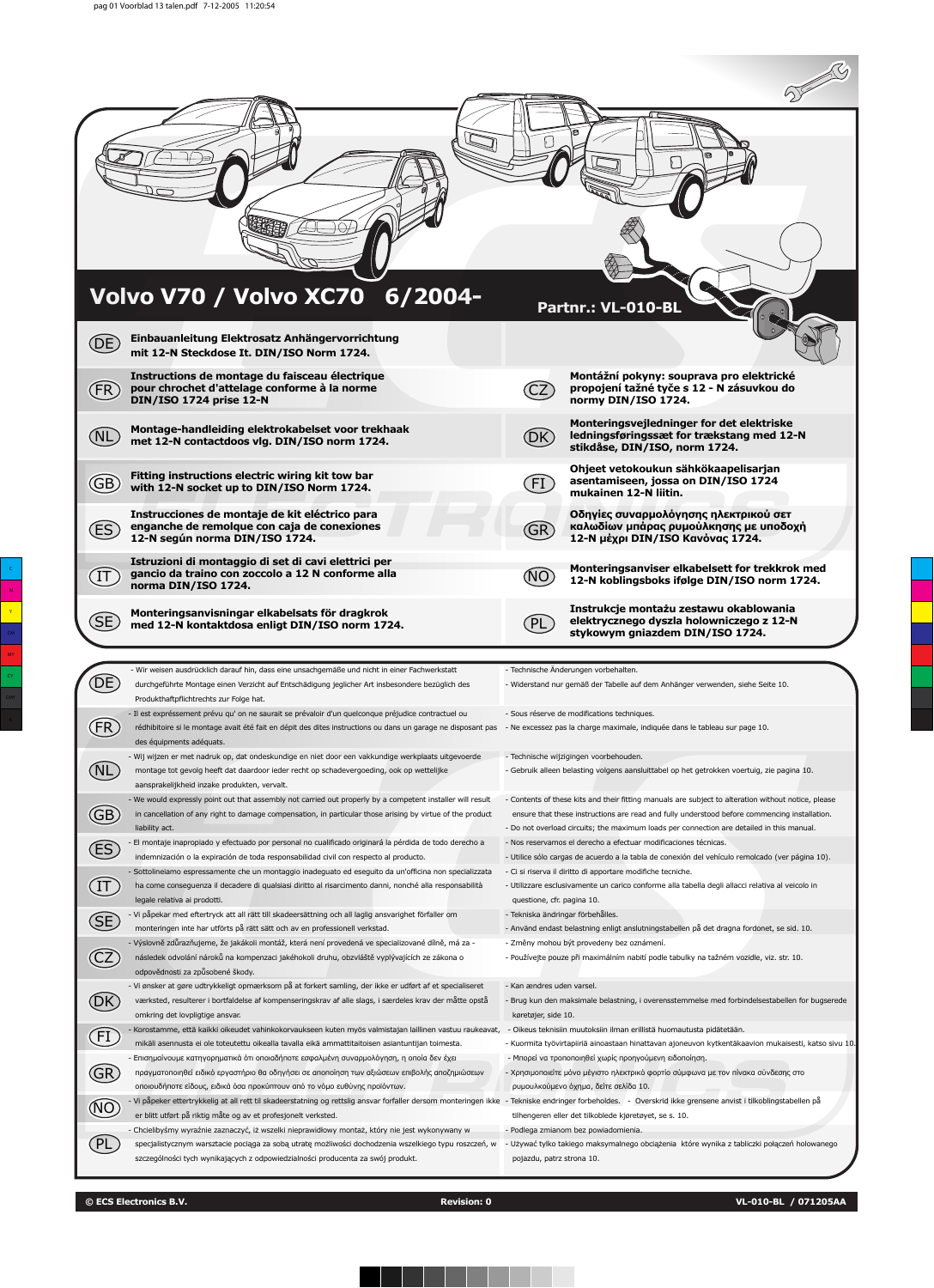| (DE)                    | Volvo V70 / Volvo XC70 6/2004-<br>Einbauanleitung Elektrosatz Anhängervorrichtung                                                                                                                                                                                                                                           | Partnr.: VL-010-BL                                                                                                                                                                                  |  |
|-------------------------|-----------------------------------------------------------------------------------------------------------------------------------------------------------------------------------------------------------------------------------------------------------------------------------------------------------------------------|-----------------------------------------------------------------------------------------------------------------------------------------------------------------------------------------------------|--|
| (FR)                    | mit 12-N Steckdose It. DIN/ISO Norm 1724.<br>Instructions de montage du faisceau électrique<br>pour chrochet d'attelage conforme à la norme                                                                                                                                                                                 | Montážní pokyny: souprava pro elektrické<br>propojení tažné tyče s 12 - N zásuvkou do                                                                                                               |  |
| NL                      | DIN/ISO 1724 prise 12-N<br>Montage-handleiding elektrokabelset voor trekhaak<br>met 12-N contactdoos vlg. DIN/ISO norm 1724.                                                                                                                                                                                                | normy DIN/ISO 1724.<br>Monteringsvejledninger for det elektriske<br>(DK)<br>ledningsføringssæt for trækstang med 12-N<br>stikdåse, DIN/ISO, norm 1724.                                              |  |
| (GB)                    | Fitting instructions electric wiring kit tow bar<br>with 12-N socket up to DIN/ISO Norm 1724.                                                                                                                                                                                                                               | Ohjeet vetokoukun sähkökaapelisarjan<br>asentamiseen, jossa on DIN/ISO 1724<br>[FI]<br>mukainen 12-N liitin.                                                                                        |  |
| (ES                     | Instrucciones de montaje de kit eléctrico para<br>enganche de remolque con caja de conexiones<br>12-N según norma DIN/ISO 1724.                                                                                                                                                                                             | Οδηγίες συναρμολόγησης ηλεκτρικού σετ<br>καλωδίων μπάρας ρυμούλκησης με υποδοχή<br>GR)<br>12-Ν μέχρι DIN/ISO Κανόνας 1724.                                                                          |  |
| П                       | Istruzioni di montaggio di set di cavi elettrici per<br>gancio da traino con zoccolo a 12 N conforme alla<br>norma DIN/ISO 1724.                                                                                                                                                                                            | Monteringsanviser elkabelsett for trekkrok med<br>12-N koblingsboks ifølge DIN/ISO norm 1724.                                                                                                       |  |
|                         |                                                                                                                                                                                                                                                                                                                             |                                                                                                                                                                                                     |  |
| (SE                     | Monteringsanvisningar elkabelsats för dragkrok<br>med 12-N kontaktdosa enligt DIN/ISO norm 1724.                                                                                                                                                                                                                            | Instrukcje montażu zestawu okablowania<br>elektrycznego dyszla holowniczego z 12-N<br>stykowym gniazdem DIN/ISO 1724.                                                                               |  |
|                         | - Wir weisen ausdrücklich darauf hin, dass eine unsachgemäße und nicht in einer Fachwerkstatt                                                                                                                                                                                                                               | - Technische Änderungen vorbehalten.                                                                                                                                                                |  |
| DE                      | durchgeführte Montage einen Verzicht auf Entschädigung jeglicher Art insbesondere bezüglich des<br>Produkthaftpflichtrechts zur Folge hat.                                                                                                                                                                                  | - Widerstand nur gemäß der Tabelle auf dem Anhänger verwenden, siehe Seite 10.                                                                                                                      |  |
| $(\mathsf{FR})$         | - Il est expréssement prévu qu' on ne saurait se prévaloir d'un quelconque préjudice contractuel ou<br>rédhibitoire si le montage avait été fait en dépit des dites instructions ou dans un garage ne disposant pas - Ne excessez pas la charge maximale, indiquée dans le tableau sur page 10.<br>des équipments adéquats. | - Sous réserve de modifications techniques.                                                                                                                                                         |  |
| (NL                     | - Wij wijzen er met nadruk op, dat ondeskundige en niet door een vakkundige werkplaats uitgevoerde<br>montage tot gevolg heeft dat daardoor ieder recht op schadevergoeding, ook op wettelijke                                                                                                                              | - Technische wijzigingen voorbehouden.<br>- Gebruik alleen belasting volgens aansluittabel op het getrokken voertuig, zie pagina 10.                                                                |  |
|                         | aansprakelijkheid inzake produkten, vervalt.<br>- We would expressly point out that assembly not carried out properly by a competent installer will result<br>in cancellation of any right to damage compensation, in particular those arising by virtue of the product                                                     | - Contents of these kits and their fitting manuals are subject to alteration without notice, please<br>ensure that these instructions are read and fully understood before commencing installation. |  |
| $\overline{\mathbb{G}}$ | liability act.<br>El montaje inapropiado y efectuado por personal no cualificado originará la pérdida de todo derecho a                                                                                                                                                                                                     | - Do not overload circuits; the maximum loads per connection are detailed in this manual.<br>- Nos reservamos el derecho a efectuar modificaciones técnicas.                                        |  |
| ES                      | indemnización o la expiración de toda responsabilidad civil con respecto al producto.                                                                                                                                                                                                                                       | - Utilice sólo cargas de acuerdo a la tabla de conexión del vehículo remolcado (ver página 10).                                                                                                     |  |
|                         | - Sottolineiamo espressamente che un montaggio inadeguato ed eseguito da un'officina non specializzata<br>ha come conseguenza il decadere di qualsiasi diritto al risarcimento danni, nonché alla responsabilità                                                                                                            | - Ci si riserva il diritto di apportare modifiche tecniche.<br>- Utilizzare esclusivamente un carico conforme alla tabella degli allacci relativa al veicolo in                                     |  |
| $\bigoplus$             | legale relativa ai prodotti.<br>- Vi påpekar med eftertryck att all rätt till skadeersättning och all laglig ansvarighet förfaller om                                                                                                                                                                                       | questione, cfr. pagina 10.<br>- Tekniska ändringar förbehålles.                                                                                                                                     |  |
| Œ                       | monteringen inte har utförts på rätt sätt och av en professionell verkstad.                                                                                                                                                                                                                                                 | - Använd endast belastning enligt anslutningstabellen på det dragna fordonet, se sid. 10.                                                                                                           |  |
| $\widehat{\text{CZ}}$   | - Výslovně zdůrazňujeme, že jakákoli montáž, která není provedená ve specializované dílně, má za -<br>následek odvolání nároků na kompenzaci jakéhokoli druhu, obzvláště vyplývajících ze zákona o<br>odpovědnosti za způsobené škody.                                                                                      | - Změny mohou být provedeny bez oznámení.<br>- Používejte pouze při maximálním nabití podle tabulky na tažném vozidle, viz. str. 10.                                                                |  |
| (DK)                    | - Vi ønsker at gøre udtrykkeligt opmærksom på at forkert samling, der ikke er udført af et specialiseret<br>værksted, resulterer i bortfaldelse af kompenseringskrav af alle slags, i særdeles krav der måtte opstå<br>omkring det lovpligtige ansvar.                                                                      | - Kan ændres uden varsel.<br>- Brug kun den maksimale belastning, i overensstemmelse med forbindelsestabellen for bugserede<br>køretøjer, side 10.                                                  |  |
|                         | Korostamme, että kaikki oikeudet vahinkokorvaukseen kuten myös valmistajan laillinen vastuu raukeavat,                                                                                                                                                                                                                      | - Oikeus teknisiin muutoksiin ilman erillistä huomautusta pidätetään.                                                                                                                               |  |
| <b>EI</b>               | mikäli asennusta ei ole toteutettu oikealla tavalla eikä ammattitaitoisen asiantuntijan toimesta.<br>- Επισημαίνουμε κατηγορηματικά ότι οποιαδήποτε εσφαλμένη συναρμολόγηση, η οποία δεν έχει                                                                                                                               | - Kuormita työvirtapiiriä ainoastaan hinattavan ajoneuvon kytkentäkaavion mukaisesti, katso sivu 10.<br>- Μπορεί να τροποποιηθεί χωρίς προηγούμενη ειδοποίηση.                                      |  |
| <b>GR</b>               | πραγματοποιηθεί ειδικό εργαστήριο θα οδηγήσει σε αποποίηση των αξιώσεων επιβολής αποζημιώσεων                                                                                                                                                                                                                               | - Χρησιμοποιείτε μόνο μέγιστο ηλεκτρικό φορτίο σύμφωνα με τον πίνακα σύνδεσης στο                                                                                                                   |  |
|                         | οποιουδήποτε είδους, ειδικά όσα προκύπτουν από το νόμο ευθύνης προϊόντων.<br>- Vi påpeker ettertrykkelig at all rett til skadeerstatning og rettslig ansvar forfaller dersom monteringen ikke  - Tekniske endringer forbeholdes.   - Overskrid ikke grensene anvist i tilkoblingstabellen på                                | ρυμουλκούμενο όχημα, δείτε σελίδα 10.                                                                                                                                                               |  |
| $\circledR$             | er blitt utført på riktig måte og av et profesjonelt verksted.<br>- Chcielibyśmy wyraźnie zaznaczyć, iż wszelki nieprawidłowy montaż, który nie jest wykonywany w                                                                                                                                                           | tilhengeren eller det tilkoblede kjøretøyet, se s. 10.<br>- Podlega zmianom bez powiadomienia.                                                                                                      |  |
| (PL)                    | specjalistycznym warsztacie pociąga za sobą utratę możliwości dochodzenia wszelkiego typu roszczeń, w<br>szczególności tych wynikających z odpowiedzialności producenta za swój produkt.                                                                                                                                    | - Używać tylko takiego maksymalnego obciążenia które wynika z tabliczki połączeń holowanego<br>pojazdu, patrz strona 10.                                                                            |  |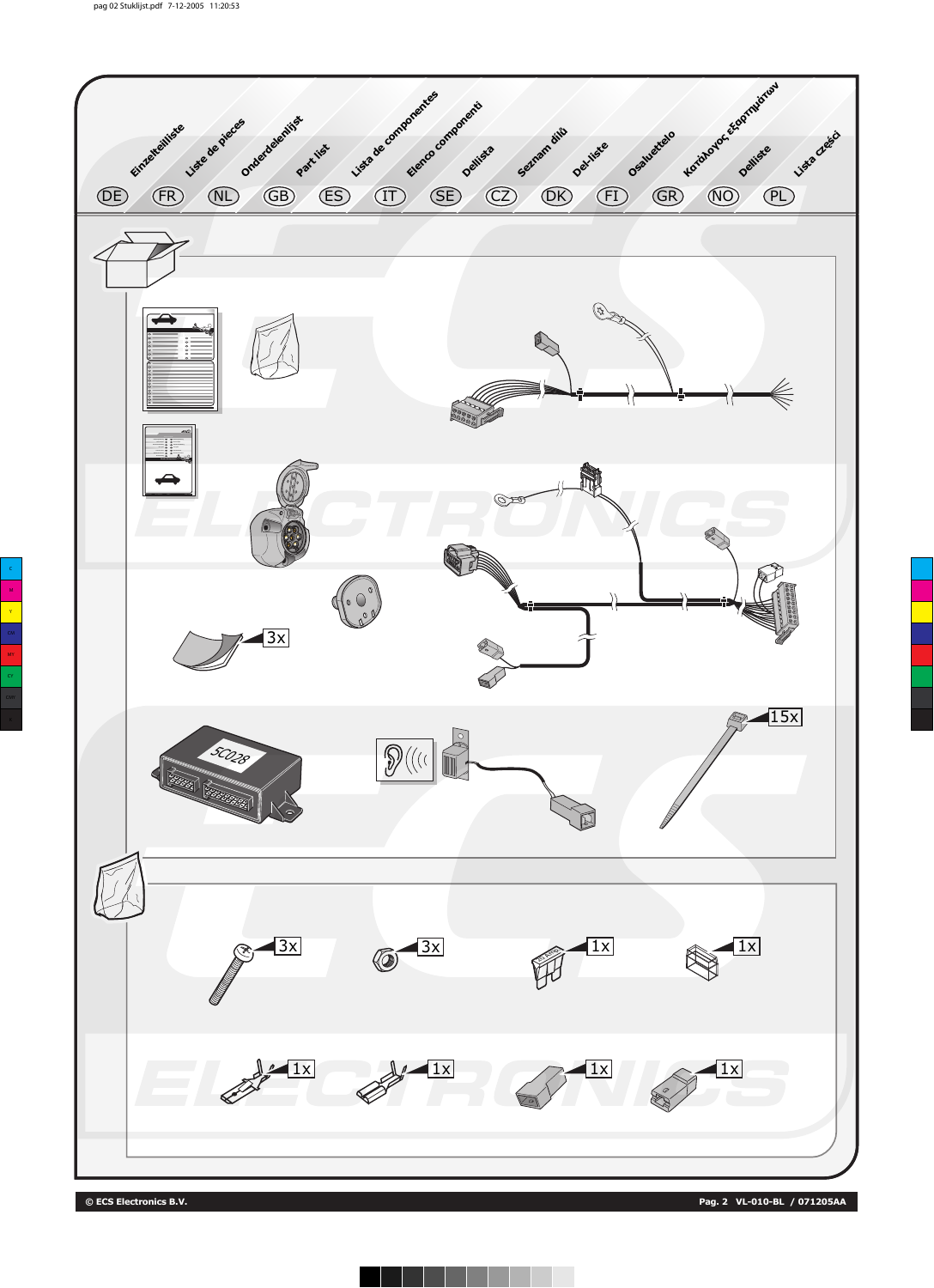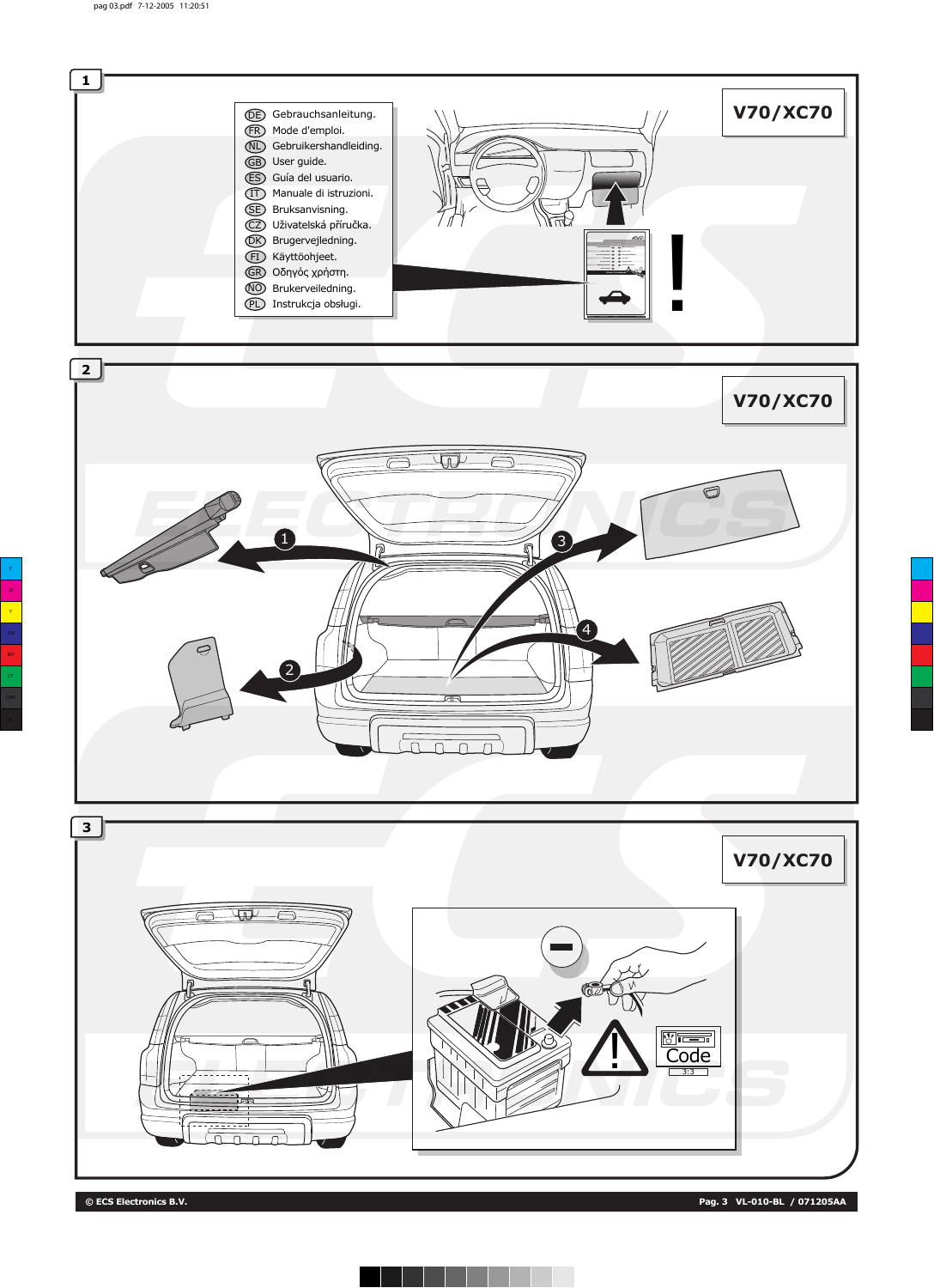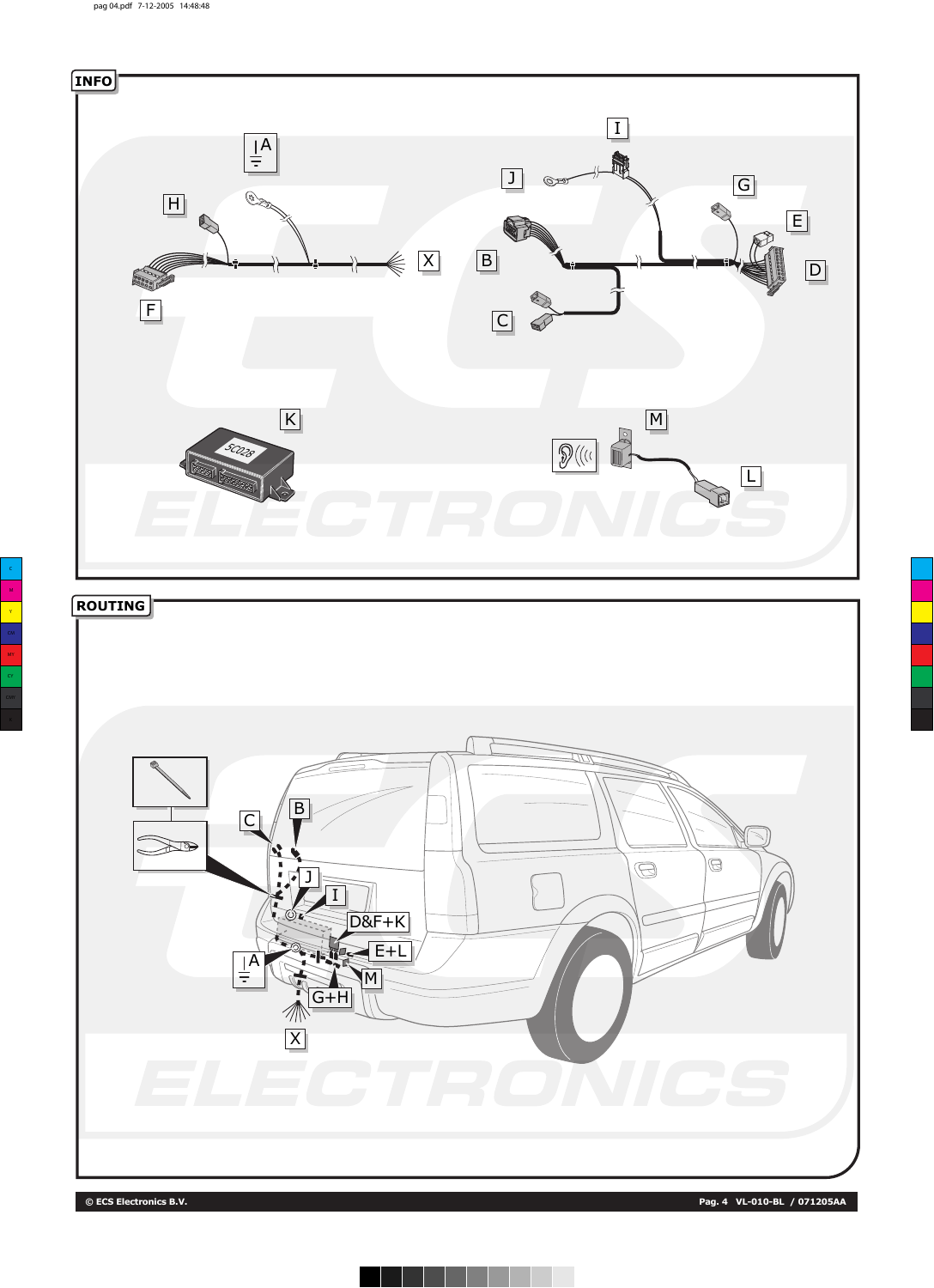

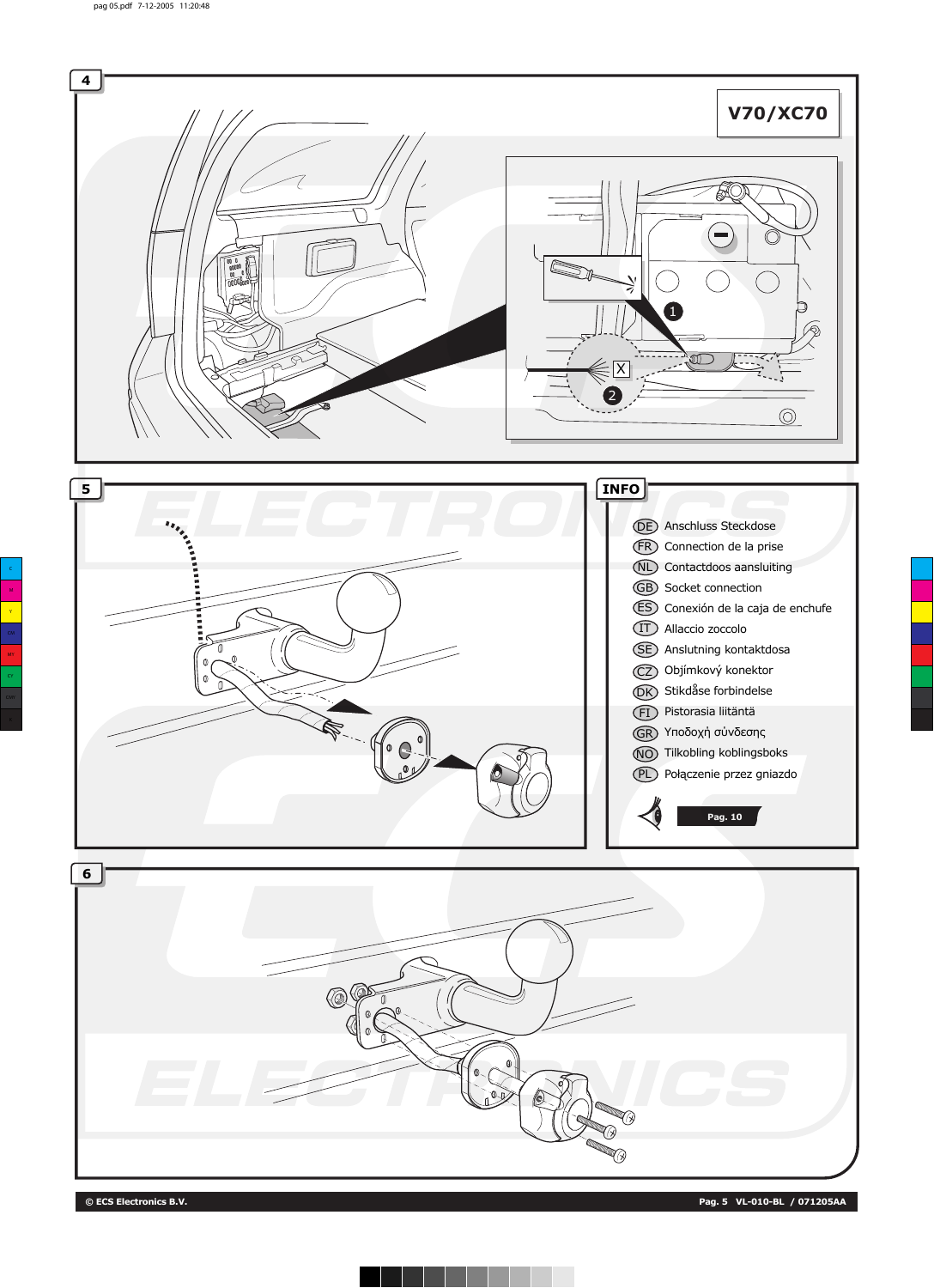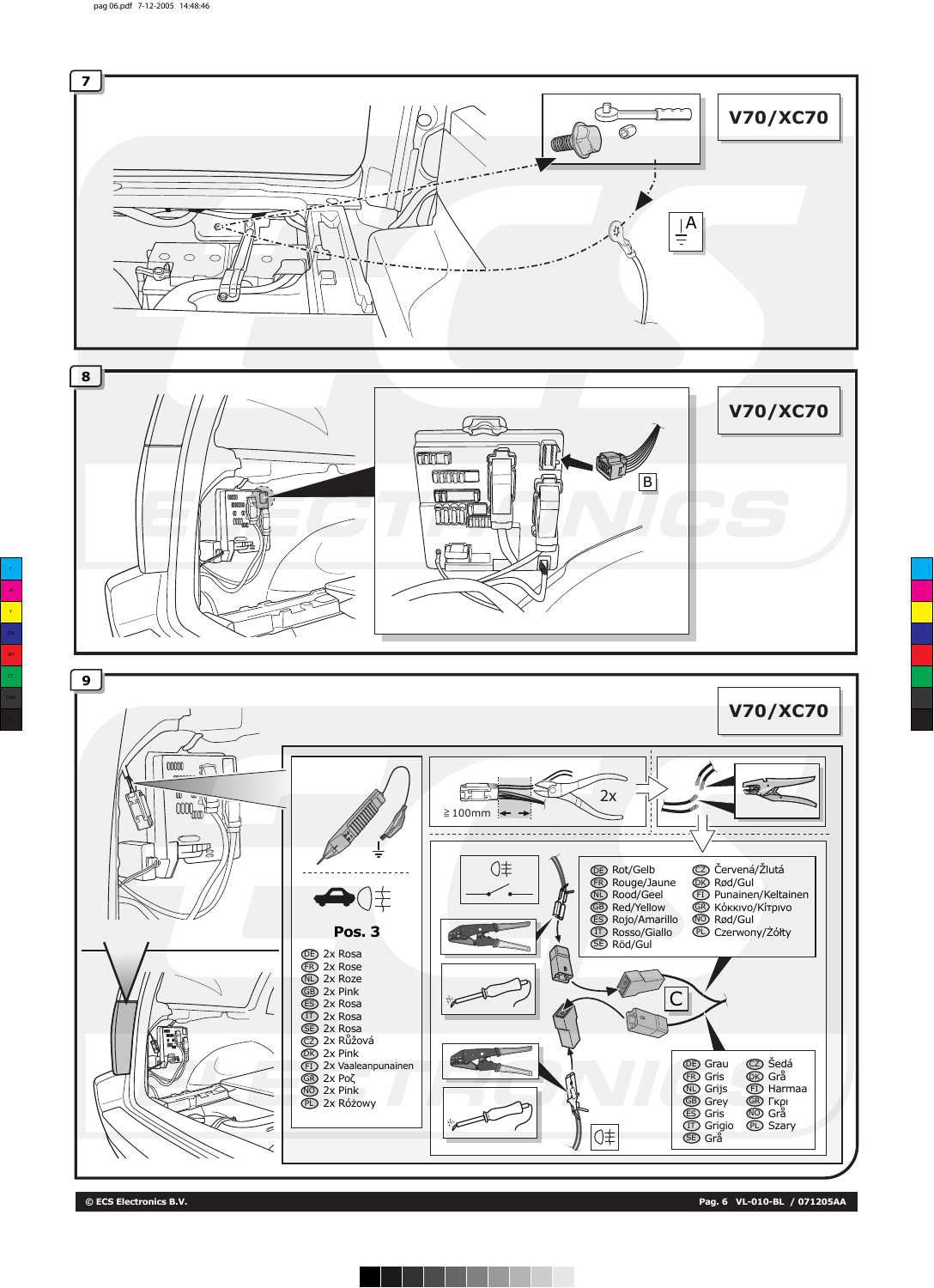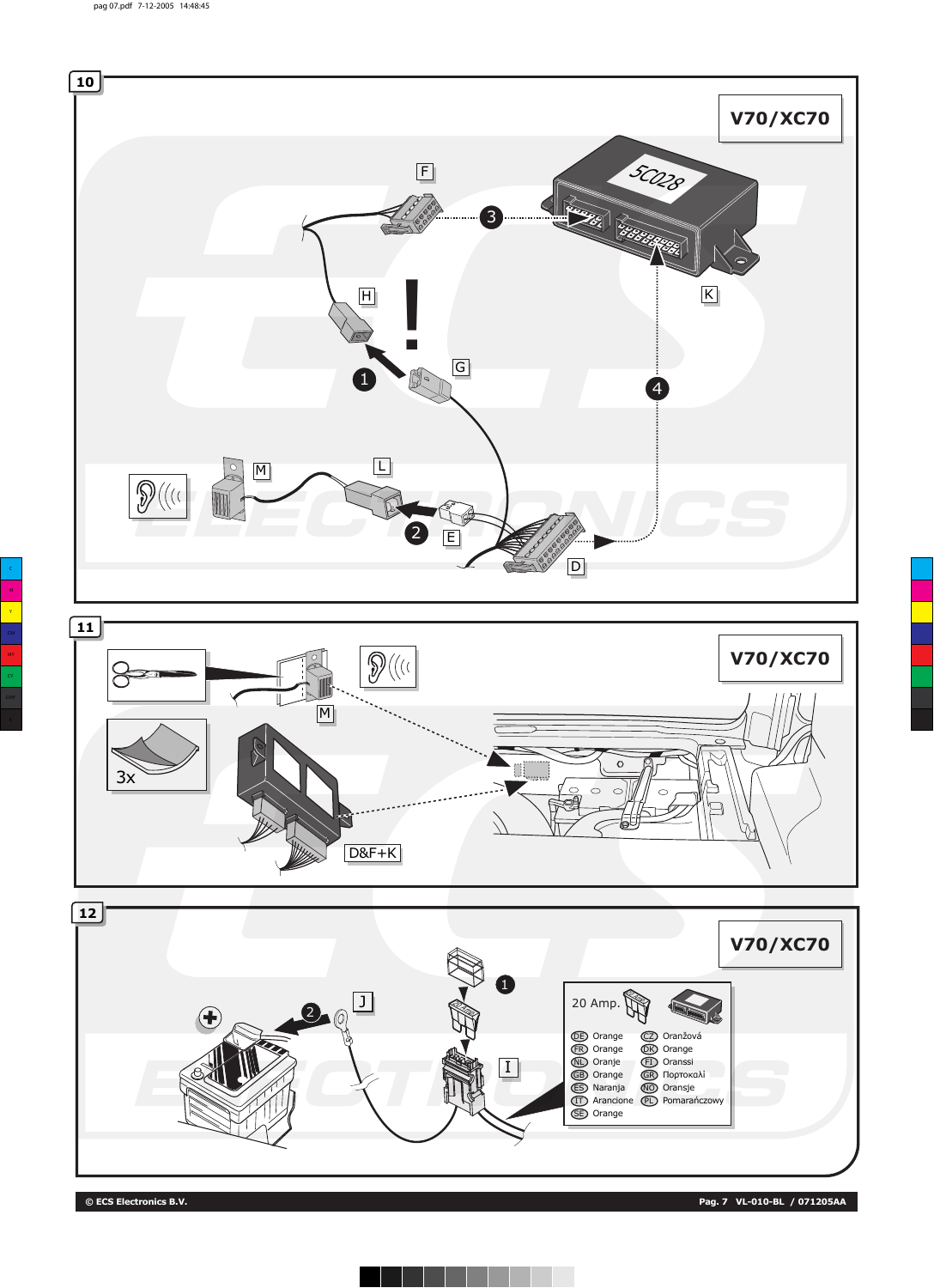



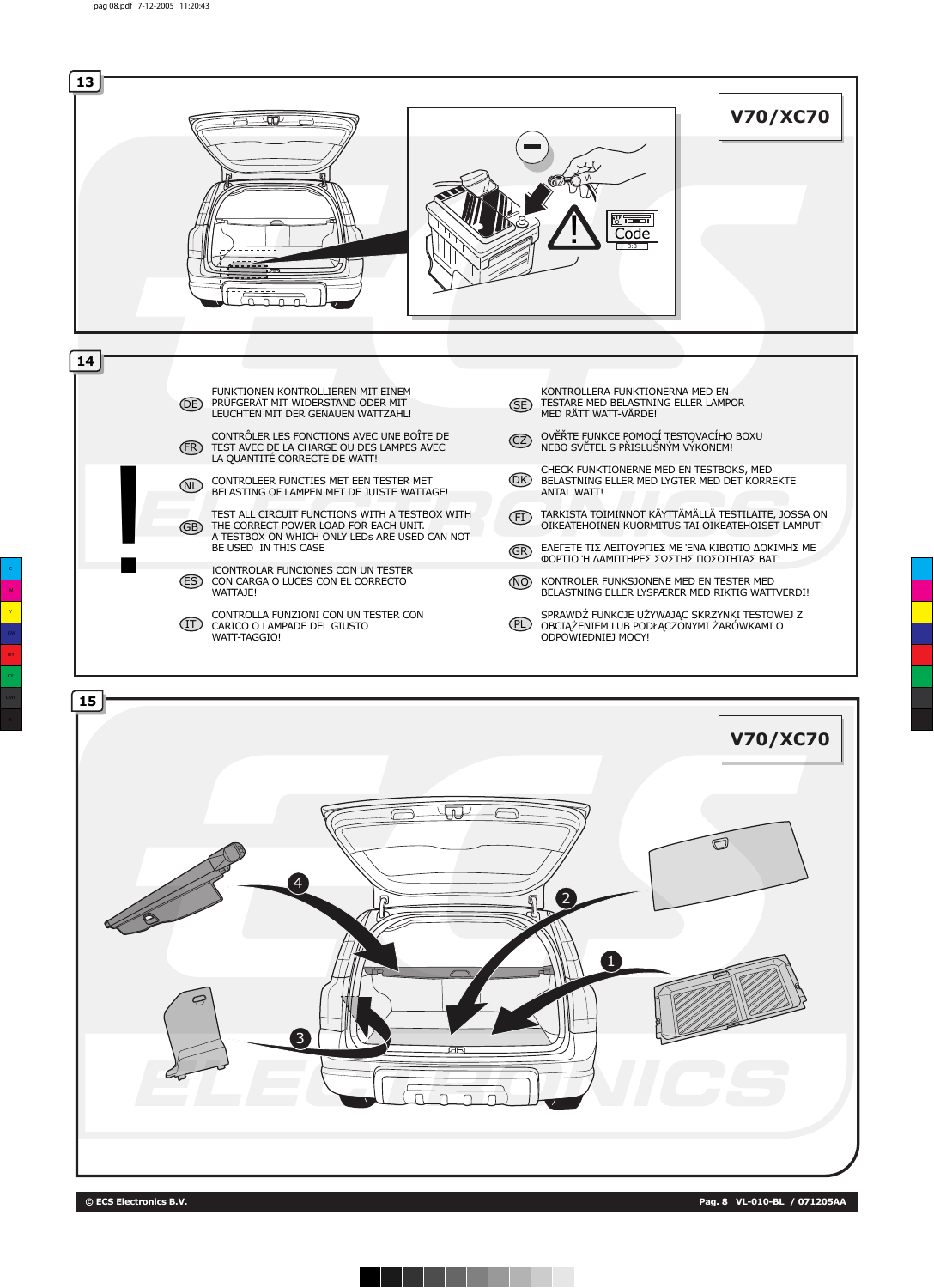

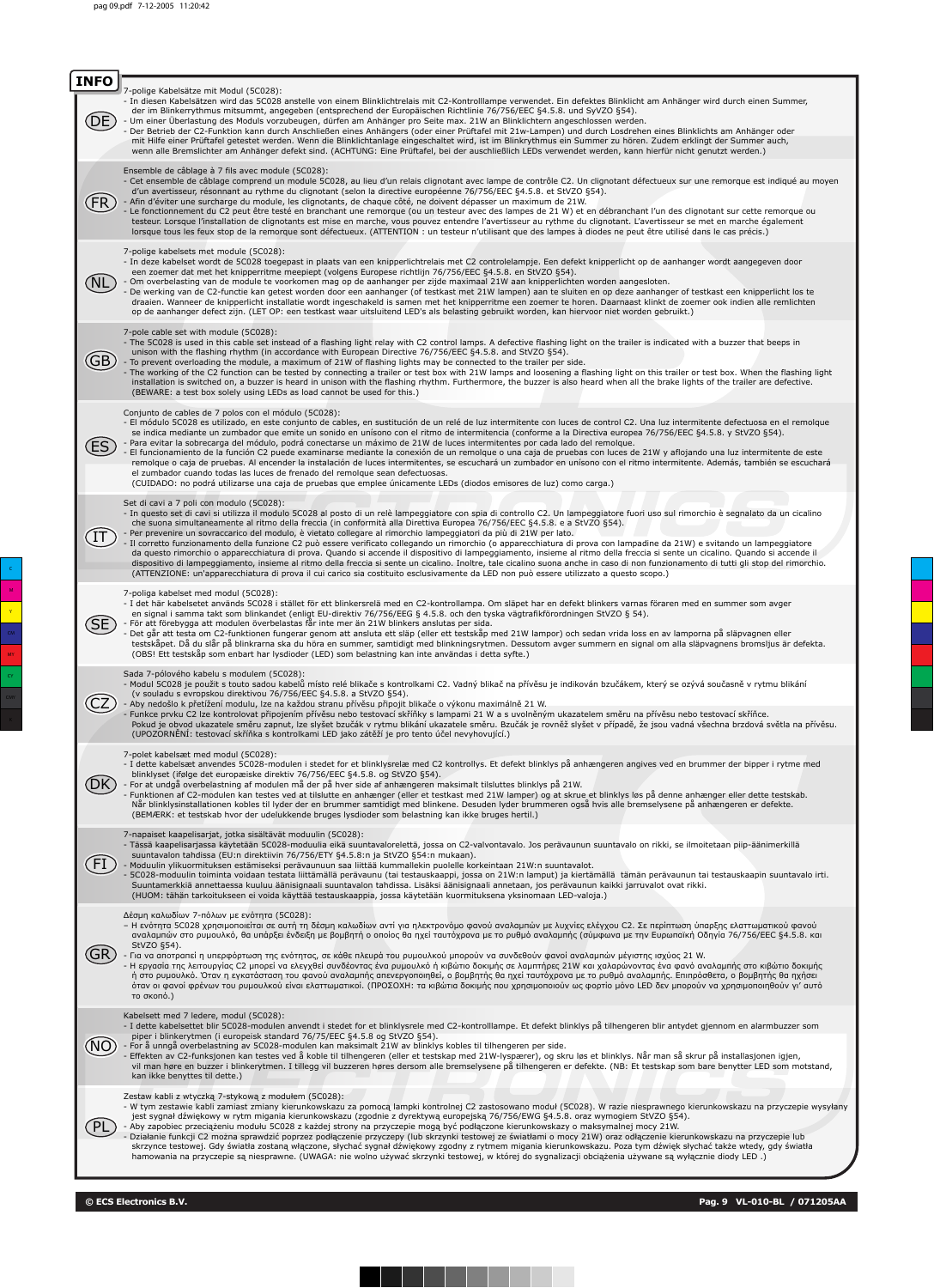| <b>INFO</b> |                                                                                                                                                                                                                                                                                                                                                                                                                                                                                                                                                                                                                                                                                                                                                                                                                                                                                                                                                                                                                                                                                                                                                                                  |
|-------------|----------------------------------------------------------------------------------------------------------------------------------------------------------------------------------------------------------------------------------------------------------------------------------------------------------------------------------------------------------------------------------------------------------------------------------------------------------------------------------------------------------------------------------------------------------------------------------------------------------------------------------------------------------------------------------------------------------------------------------------------------------------------------------------------------------------------------------------------------------------------------------------------------------------------------------------------------------------------------------------------------------------------------------------------------------------------------------------------------------------------------------------------------------------------------------|
|             | 7-polige Kabelsätze mit Modul (5C028):<br>- In diesen Kabelsätzen wird das 5C028 anstelle von einem Blinklichtrelais mit C2-Kontrolllampe verwendet. Ein defektes Blinklicht am Anhänger wird durch einen Summer,<br>der im Blinkerrythmus mitsummt, angegeben (entsprechend der Europäischen Richtlinie 76/756/EEC §4.5.8. und SyVZO §54).<br>- Um einer Überlastung des Moduls vorzubeugen, dürfen am Anhänger pro Seite max. 21W an Blinklichtern angeschlossen werden.<br>Der Betrieb der C2-Funktion kann durch Anschließen eines Anhängers (oder einer Prüftafel mit 21w-Lampen) und durch Losdrehen eines Blinklichts am Anhänger oder<br>mit Hilfe einer Prüftafel getestet werden. Wenn die Blinklichtanlage eingeschaltet wird, ist im Blinkrythmus ein Summer zu hören. Zudem erklingt der Summer auch,<br>wenn alle Bremslichter am Anhänger defekt sind. (ACHTUNG: Eine Prüftafel, bei der auschließlich LEDs verwendet werden, kann hierfür nicht genutzt werden.)                                                                                                                                                                                                 |
|             | Ensemble de câblage à 7 fils avec module (5C028):<br>- Cet ensemble de câblage comprend un module 5C028, au lieu d'un relais clignotant avec lampe de contrôle C2. Un clignotant défectueux sur une remorque est indiqué au moyen<br>d'un avertisseur, résonnant au rythme du clignotant (selon la directive européenne 76/756/EEC §4.5.8. et StVZO §54).<br>- Afin d'éviter une surcharge du module, les clignotants, de chaque côté, ne doivent dépasser un maximum de 21W.<br>Le fonctionnement du C2 peut être testé en branchant une remorque (ou un testeur avec des lampes de 21 W) et en débranchant l'un des clignotant sur cette remorque ou<br>testeur. Lorsque l'installation de clignotants est mise en marche, vous pouvez entendre l'avertisseur au rythme du clignotant. L'avertisseur se met en marche également<br>lorsque tous les feux stop de la remorque sont défectueux. (ATTENTION : un testeur n'utilisant que des lampes à diodes ne peut être utilisé dans le cas précis.)                                                                                                                                                                            |
|             | 7-polige kabelsets met module (5C028):<br>- In deze kabelset wordt de 5C028 toegepast in plaats van een knipperlichtrelais met C2 controlelampje. Een defekt knipperlicht op de aanhanger wordt aangegeven door<br>een zoemer dat met het knipperritme meepiept (volgens Europese richtlijn 76/756/EEC §4.5.8. en StVZO §54).<br>- Om overbelasting van de module te voorkomen mag op de aanhanger per zijde maximaal 21W aan knipperlichten worden aangesloten.<br>De werking van de C2-functie kan getest worden door een aanhanger (of testkast met 21W lampen) aan te sluiten en op deze aanhanger of testkast een knipperlicht los te<br>draaien. Wanneer de knipperlicht installatie wordt ingeschakeld is samen met het knipperritme een zoemer te horen. Daarnaast klinkt de zoemer ook indien alle remlichten<br>op de aanhanger defect zijn. (LET OP: een testkast waar uitsluitend LED's als belasting gebruikt worden, kan hiervoor niet worden gebruikt.)                                                                                                                                                                                                           |
| GB          | 7-pole cable set with module (5C028):<br>- The 5C028 is used in this cable set instead of a flashing light relay with C2 control lamps. A defective flashing light on the trailer is indicated with a buzzer that beeps in<br>unison with the flashing rhythm (in accordance with European Directive 76/756/EEC §4.5.8. and StVZO §54).<br>- To prevent overloading the module, a maximum of 21W of flashing lights may be connected to the trailer per side.<br>- The working of the C2 function can be tested by connecting a trailer or test box with 21W lamps and loosening a flashing light on this trailer or test box. When the flashing light<br>installation is switched on, a buzzer is heard in unison with the flashing rhythm. Furthermore, the buzzer is also heard when all the brake lights of the trailer are defective.<br>(BEWARE: a test box solely using LEDs as load cannot be used for this.)                                                                                                                                                                                                                                                            |
|             | Conjunto de cables de 7 polos con el módulo (5C028):<br>- El módulo 5C028 es utilizado, en este conjunto de cables, en sustitución de un relé de luz intermitente con luces de control C2. Una luz intermitente defectuosa en el remolque<br>se indica mediante un zumbador que emite un sonido en unísono con el ritmo de intermitencia (conforme a la Directiva europea 76/756/EEC §4.5.8. y StVZO §54).<br>- Para evitar la sobrecarga del módulo, podrá conectarse un máximo de 21W de luces intermitentes por cada lado del remolgue.<br>El funcionamiento de la función C2 puede examinarse mediante la conexión de un remolque o una caja de pruebas con luces de 21W y aflojando una luz intermitente de este<br>remolque o caja de pruebas. Al encender la instalación de luces intermitentes, se escuchará un zumbador en unísono con el ritmo intermitente. Además, también se escuchará<br>el zumbador cuando todas las luces de frenado del remolgue sean defectuosas.<br>(CUIDADO: no podrá utilizarse una caja de pruebas que emplee únicamente LEDs (diodos emisores de luz) como carga.)                                                                        |
|             | Set di cavi a 7 poli con modulo (5C028):<br>- In questo set di cavi si utilizza il modulo 5C028 al posto di un relè lampeggiatore con spia di controllo C2. Un lampeggiatore fuori uso sul rimorchio è segnalato da un cicalino<br>che suona simultaneamente al ritmo della freccia (in conformità alla Direttiva Europea 76/756/EEC §4.5.8. e a StVZO §54).<br>Per prevenire un sovraccarico del modulo, è vietato collegare al rimorchio lampeggiatori da più di 21W per lato.<br>- Il corretto funzionamento della funzione C2 può essere verificato collegando un rimorchio (o apparecchiatura di prova con lampadine da 21W) e svitando un lampeggiatore<br>da questo rimorchio o apparecchiatura di prova. Quando si accende il dispositivo di lampeggiamento, insieme al ritmo della freccia si sente un cicalino. Quando si accende il<br>dispositivo di lampeggiamento, insieme al ritmo della freccia si sente un cicalino. Inoltre, tale cicalino suona anche in caso di non funzionamento di tutti gli stop del rimorchio.<br>(ATTENZIONE: un'apparecchiatura di prova il cui carico sia costituito esclusivamente da LED non può essere utilizzato a questo scopo.) |
|             | 7-poliga kabelset med modul (5C028):<br>- I det här kabelsetet används 5C028 i stället för ett blinkersrelä med en C2-kontrollampa. Om släpet har en defekt blinkers varnas föraren med en summer som avger<br>en signal i samma takt som blinkandet (enligt EU-direktiv 76/756/EEG § 4.5.8. och den tyska vägtrafikförordningen StVZO § 54).<br>- För att förebygga att modulen överbelastas får inte mer än 21W blinkers anslutas per sida.<br>Det går att testa om C2-funktionen fungerar genom att ansluta ett släp (eller ett testskåp med 21W lampor) och sedan vrida loss en av lamporna på släpvagnen eller<br>testskåpet. Då du slår på blinkrarna ska du höra en summer, samtidigt med blinkningsrytmen. Dessutom avger summern en signal om alla släpvagnens bromsljus är defekta.<br>(OBS! Ett testskåp som enbart har lysdioder (LED) som belastning kan inte användas i detta syfte.)                                                                                                                                                                                                                                                                              |
|             | Sada 7-pólového kabelu s modulem (5C028):<br>- Modul 5C028 je použit s touto sadou kabelů místo relé blikače s kontrolkami C2. Vadný blikač na přívěsu je indikován bzučákem, který se ozývá současně v rytmu blikání<br>(v souladu s evropskou direktivou 76/756/EEC §4.5.8. a StVZO §54).<br>- Aby nedošlo k přetížení modulu, lze na každou stranu přívěsu připojit blikače o výkonu maximálně 21 W.<br>Funkce prvku C2 lze kontrolovat připojením přívěsu nebo testovací skříňky s lampami 21 W a s uvolněným ukazatelem směru na přívěsu nebo testovací skříňce.<br>Pokud je obvod ukazatele směru zapnut, lze slyšet bzučák v rytmu blikání ukazatele směru. Bzučák je rovněž slyšet v případě, že jsou vadná všechna brzdová světla na přívěsu.                                                                                                                                                                                                                                                                                                                                                                                                                           |
|             | (UPOZORNĚNÍ: testovací skříňka s kontrolkami LED jako zátěží je pro tento účel nevyhovující.)<br>7-polet kabelsæt med modul (5C028):<br>- I dette kabelsæt anvendes 5C028-modulen i stedet for et blinklysrelæ med C2 kontrollys. Et defekt blinklys på anhængeren angives ved en brummer der bipper i rytme med<br>blinklyset (ifølge det europæiske direktiv 76/756/EEC §4.5.8. og StVZO §54).<br>- For at undgå overbelastning af modulen må der på hver side af anhængeren maksimalt tilsluttes blinklys på 21W.<br>- Funktionen af C2-modulen kan testes ved at tilslutte en anhænger (eller et testkast med 21W lamper) og at skrue et blinklys løs på denne anhænger eller dette testskab.<br>Når blinklysinstallationen kobles til lyder der en brummer samtidigt med blinkene. Desuden lyder brummeren også hvis alle bremselysene på anhængeren er defekte.<br>(BEMÆRK: et testskab hvor der udelukkende bruges lysdioder som belastning kan ikke bruges hertil.)                                                                                                                                                                                                      |
|             | 7-napaiset kaapelisarjat, jotka sisältävät moduulin (5C028):<br>- Tässä kaapelisarjassa käytetään 5C028-moduulia eikä suuntavalorelettä, jossa on C2-valvontavalo. Jos perävaunun suuntavalo on rikki, se ilmoitetaan piip-äänimerkillä<br>suuntavalon tahdissa (EU:n direktiivin 76/756/ETY §4.5.8:n ja StVZO §54:n mukaan).<br>- Moduulin ylikuormituksen estämiseksi perävaunuun saa liittää kummallekin puolelle korkeintaan 21W:n suuntavalot.<br>- 5C028-moduulin toiminta voidaan testata liittämällä perävaunu (tai testauskaappi, jossa on 21W:n lamput) ja kiertämällä tämän perävaunun tai testauskaapin suuntavalo irti.<br>Suuntamerkkiä annettaessa kuuluu äänisignaali suuntavalon tahdissa. Lisäksi äänisignaali annetaan, jos perävaunun kaikki jarruvalot ovat rikki.<br>(HUOM: tähän tarkoitukseen ei voida käyttää testauskaappia, jossa käytetään kuormituksena yksinomaan LED-valoja.)                                                                                                                                                                                                                                                                     |
|             | Δέσμη καλωδίων 7-πόλων με ενότητα (5C028):<br>– Η ενότητα 5C028 χρησιμοποιείται σε αυτή τη δέσμη καλωδίων αντί για ηλεκτρονόμο φανού αναλαμπών με λυχνίες ελέγχου C2. Σε περίπτωση ύπαρξης ελαττωματικού φανού<br>αναλαμπών στο ρυμουλκό, θα υπάρξει ένδειξη με βομβητή ο οποίος θα ηχεί ταυτόχρονα με το ρυθμό αναλαμπής (σύμφωνα με την Ευρωπαϊκή Οδηγία 76/756/ΕΕC §4.5.8. και<br>StVZO §54).<br>- Για να αποτραπεί η υπερφόρτωση της ενότητας, σε κάθε πλευρά του ρυμουλκού μπορούν να συνδεθούν φανοί αναλαμπών μέγιστης ισχύος 21 W.<br>- Η εργασία της λειτουργίας C2 μπορεί να ελεγχθεί συνδέοντας ένα ρυμουλκό ή κιβώτιο δοκιμής σε λαμπτήρες 21W και χαλαρώνοντας ένα φανό αναλαμπής στο κιβώτιο δοκιμής<br>ή στο ρυμουλκό. Όταν η εγκατάσταση του φανού αναλαμπής απενεργοποιηθεί, ο βομβητής θα ηχεί ταυτόχρονα με το ρυθμό αναλαμπής. Επιπρόσθετα, ο βομβητής θα ηχήσει<br>όταν οι φανοί φρένων του ρυμουλκού είναι ελαττωματικοί. (ΠΡΟΣΟΧΗ: τα κιβώτια δοκιμής που χρησιμοποιούν ως φορτίο μόνο LED δεν μπορούν να χρησιμοποιηθούν γι' αυτό<br>το σκοπό.)                                                                                                          |
|             | Kabelsett med 7 ledere, modul (5C028):<br>- I dette kabelsettet blir 5C028-modulen anvendt i stedet for et blinklysrele med C2-kontrolllampe. Et defekt blinklys på tilhengeren blir antydet gjennom en alarmbuzzer som<br>piper i blinkerytmen (i europeisk standard 76/75/EEC §4.5.8 og StVZO §54).<br>- For å unngå overbelastning av 5C028-modulen kan maksimalt 21W av blinklys kobles til tilhengeren per side.<br>- Effekten av C2-funksjonen kan testes ved å koble til tilhengeren (eller et testskap med 21W-lyspærer), og skru løs et blinklys. Når man så skrur på installasjonen igjen,<br>vil man høre en buzzer i blinkerytmen. I tillegg vil buzzeren høres dersom alle bremselysene på tilhengeren er defekte. (NB: Et testskap som bare benytter LED som motstand,<br>kan ikke benyttes til dette.)                                                                                                                                                                                                                                                                                                                                                            |
|             | Zestaw kabli z wtyczką 7-stykową z modułem (5C028):<br>- W tym zestawie kabli zamiast zmiany kierunkowskazu za pomocą lampki kontrolnej C2 zastosowano moduł (5C028). W razie niesprawnego kierunkowskazu na przyczepie wysyłany<br>jest sygnał dźwiękowy w rytm migania kierunkowskazu (zgodnie z dyrektywą europejską 76/756/EWG §4.5.8. oraz wymogiem StVZO §54).<br>- Aby zapobiec przeciążeniu modułu 5C028 z każdej strony na przyczepie mogą być podłączone kierunkowskazy o maksymalnej mocy 21W.<br>Działanie funkcji C2 można sprawdzić poprzez podłączenie przyczepy (lub skrzynki testowej ze światłami o mocy 21W) oraz odłączenie kierunkowskazu na przyczepie lub<br>skrzynce testowej. Gdy światła zostaną włączone, słychać sygnał dźwiękowy zgodny z rytmem migania kierunkowskazu. Poza tym dźwięk słychać także wtedy, gdy światła<br>hamowania na przyczepie są niesprawne. (UWAGA: nie wolno używać skrzynki testowej, w której do sygnalizacji obciążenia używane są wyłącznie diody LED.)                                                                                                                                                                |